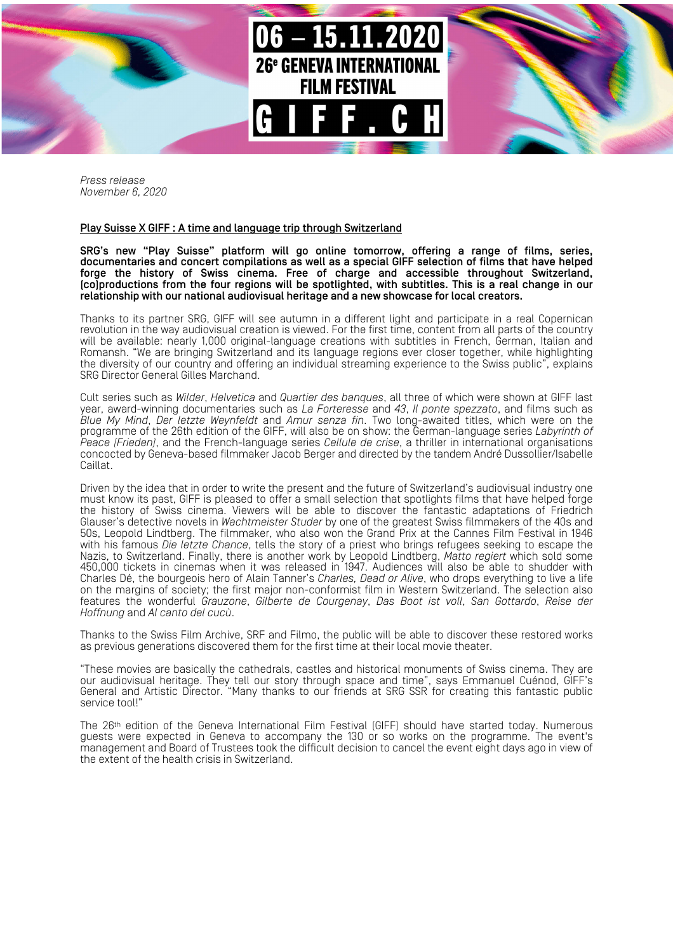

*Press release November 6, 2020*

## Play Suisse X GIFF : A time and language trip through Switzerland

SRG's new "Play Suisse" platform will go online tomorrow, offering a range of films, series, documentaries and concert compilations as well as a special GIFF selection of films that have helped forge the history of Swiss cinema. Free of charge and accessible throughout Switzerland, (co)productions from the four regions will be spotlighted, with subtitles. This is a real change in our relationship with our national audiovisual heritage and a new showcase for local creators.

Thanks to its partner SRG, GIFF will see autumn in a different light and participate in a real Copernican revolution in the way audiovisual creation is viewed. For the first time, content from all parts of the country will be available: nearly 1,000 original-language creations with subtitles in French, German, Italian and Romansh. "We are bringing Switzerland and its language regions ever closer together, while highlighting the diversity of our country and offering an individual streaming experience to the Swiss public", explains SRG Director General Gilles Marchand.

Cult series such as *Wilder*, *Helvetica* and *Quartier des banques*, all three of which were shown at GIFF last year, award-winning documentaries such as *La Forteresse* and *43*, *Il ponte spezzato*, and films such as *Blue My Mind*, *Der letzte Weynfeldt* and *Amur senza fin*. Two long-awaited titles, which were on the programme of the 26th edition of the GIFF, will also be on show: the German-language series *Labyrinth of Peace (Frieden)*, and the French-language series *Cellule de crise*, a thriller in international organisations concocted by Geneva-based filmmaker Jacob Berger and directed by the tandem André Dussollier/Isabelle Caillat.

Driven by the idea that in order to write the present and the future of Switzerland's audiovisual industry one must know its past, GIFF is pleased to offer a small selection that spotlights films that have helped forge the history of Swiss cinema. Viewers will be able to discover the fantastic adaptations of Friedrich Glauser's detective novels in *Wachtmeister Studer* by one of the greatest Swiss filmmakers of the 40s and 50s, Leopold Lindtberg. The filmmaker, who also won the Grand Prix at the Cannes Film Festival in 1946 with his famous *Die letzte Chance*, tells the story of a priest who brings refugees seeking to escape the Nazis, to Switzerland. Finally, there is another work by Leopold Lindtberg, *Matto regiert* which sold some 450,000 tickets in cinemas when it was released in 1947. Audiences will also be able to shudder with Charles Dé, the bourgeois hero of Alain Tanner's *Charles, Dead or Alive*, who drops everything to live a life on the margins of society; the first major non-conformist film in Western Switzerland. The selection also features the wonderful *Grauzone*, *Gilberte de Courgenay*, *Das Boot ist voll*, *San Gottardo*, *Reise der Hoffnung* and *Al canto del cucù*.

Thanks to the Swiss Film Archive, SRF and Filmo, the public will be able to discover these restored works as previous generations discovered them for the first time at their local movie theater.

"These movies are basically the cathedrals, castles and historical monuments of Swiss cinema. They are our audiovisual heritage. They tell our story through space and time", says Emmanuel Cuénod, GIFF's General and Artistic Director. "Many thanks to our friends at SRG SSR for creating this fantastic public service tool!

The 26th edition of the Geneva International Film Festival (GIFF) should have started today. Numerous guests were expected in Geneva to accompany the 130 or so works on the programme. The event's management and Board of Trustees took the difficult decision to cancel the event eight days ago in view of the extent of the health crisis in Switzerland.